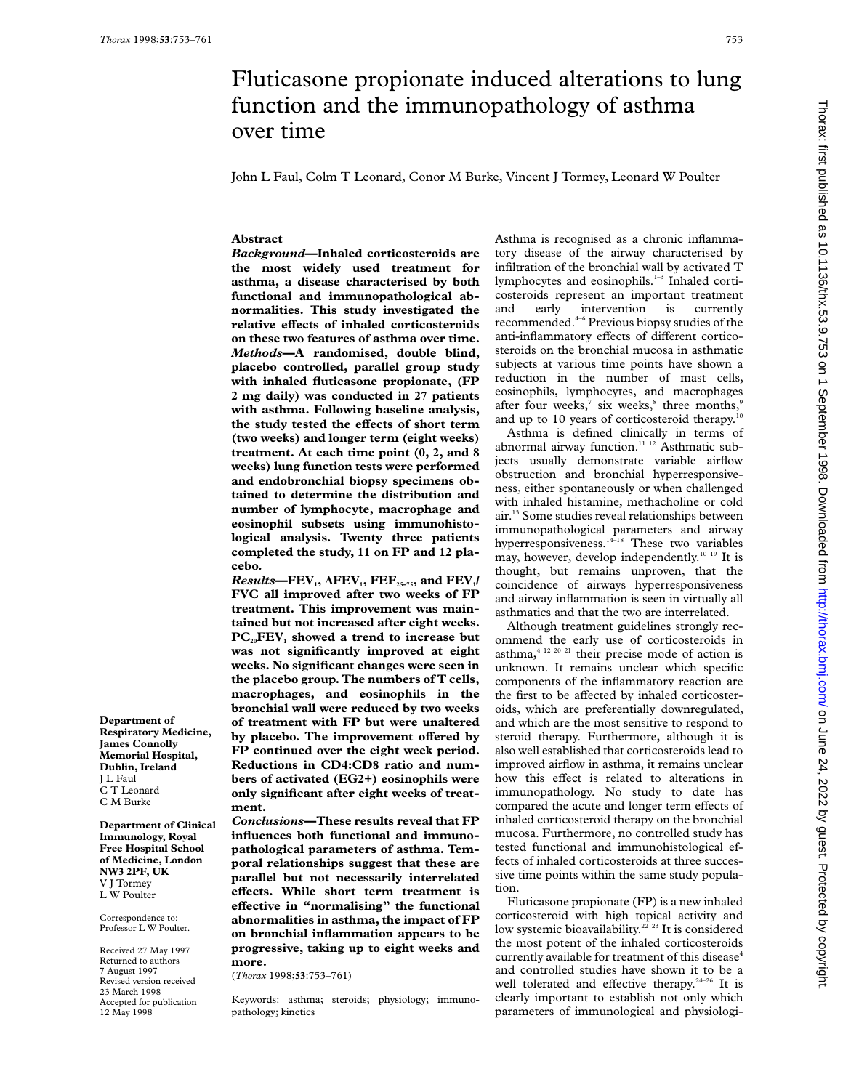# Fluticasone propionate induced alterations to lung function and the immunopathology of asthma over time

John L Faul, Colm T Leonard, Conor M Burke, Vincent J Tormey, Leonard W Poulter

## **Abstract**

*Background***—Inhaled corticosteroids are the most widely used treatment for asthma, a disease characterised by both functional and immunopathological abnormalities. This study investigated the relative effects of inhaled corticosteroids on these two features of asthma over time.** *Methods***—A randomised, double blind, placebo controlled, parallel group study with inhaled fluticasone propionate, (FP 2 mg daily) was conducted in 27 patients with asthma. Following baseline analysis,** the study tested the effects of short term **(two weeks) and longer term (eight weeks) treatment. At each time point (0, 2, and 8 weeks) lung function tests were performed and endobronchial biopsy specimens obtained to determine the distribution and number of lymphocyte, macrophage and eosinophil subsets using immunohistological analysis. Twenty three patients completed the study, 11 on FP and 12 placebo.**

*Results*—FEV<sub>1</sub>,  $\Delta$ FEV<sub>1</sub>, FEF<sub>25-75</sub>, and FEV<sub>1</sub>/ **FVC all improved after two weeks of FP treatment. This improvement was maintained but not increased after eight weeks.** PC<sub>20</sub>FEV<sub>1</sub> showed a trend to increase but **was not significantly improved at eight weeks. No significant changes were seen in the placebo group. The numbers of T cells, macrophages, and eosinophils in the bronchial wall were reduced by two weeks of treatment with FP but were unaltered** by placebo. The improvement offered by **FP continued over the eight week period. Reductions in CD4:CD8 ratio and numbers of activated (EG2+) eosinophils were only significant after eight weeks of treatment.**

*Conclusions***—These results reveal that FP influences both functional and immunopathological parameters of asthma. Temporal relationships suggest that these are parallel but not necessarily interrelated** effects. While short term treatment is **eVective in "normalising" the functional abnormalities in asthma, the impact of FP on bronchial inflammation appears to be progressive, taking up to eight weeks and more.**

(*Thorax* 1998;**53**:753–761)

Keywords: asthma; steroids; physiology; immunopathology; kinetics

Asthma is recognised as a chronic inflammatory disease of the airway characterised by infiltration of the bronchial wall by activated T lymphocytes and eosinophils.<sup>1-3</sup> Inhaled corticosteroids represent an important treatment and early intervention is currently recommended.4–6 Previous biopsy studies of the anti-inflammatory effects of different corticosteroids on the bronchial mucosa in asthmatic subjects at various time points have shown a reduction in the number of mast cells, eosinophils, lymphocytes, and macrophages after four weeks, $7 \text{ six weeks}$  three months, $9$ and up to 10 years of corticosteroid therapy.<sup>10</sup>

Asthma is defined clinically in terms of abnormal airway function.<sup>11 12</sup> Asthmatic subjects usually demonstrate variable airflow obstruction and bronchial hyperresponsiveness, either spontaneously or when challenged with inhaled histamine, methacholine or cold air.13 Some studies reveal relationships between immunopathological parameters and airway hyperresponsiveness.<sup>14-18</sup> These two variables may, however, develop independently.10 19 It is thought, but remains unproven, that the coincidence of airways hyperresponsiveness and airway inflammation is seen in virtually all asthmatics and that the two are interrelated.

Although treatment guidelines strongly recommend the early use of corticosteroids in asthma, $4^{12\ 20\ 21}$  their precise mode of action is unknown. It remains unclear which specific components of the inflammatory reaction are the first to be affected by inhaled corticosteroids, which are preferentially downregulated, and which are the most sensitive to respond to steroid therapy. Furthermore, although it is also well established that corticosteroids lead to improved airflow in asthma, it remains unclear how this effect is related to alterations in immunopathology. No study to date has compared the acute and longer term effects of inhaled corticosteroid therapy on the bronchial mucosa. Furthermore, no controlled study has tested functional and immunohistological effects of inhaled corticosteroids at three successive time points within the same study population.

Fluticasone propionate (FP) is a new inhaled corticosteroid with high topical activity and low systemic bioavailability.<sup>22</sup><sup>23</sup> It is considered the most potent of the inhaled corticosteroids currently available for treatment of this disease<sup>4</sup> and controlled studies have shown it to be a well tolerated and effective therapy.<sup>24-26</sup> It is clearly important to establish not only which parameters of immunological and physiologi-

**Department of Respiratory Medicine, James Connolly Memorial Hospital, Dublin, Ireland** J L Faul C T Leonard C M Burke

**Department of Clinical Immunology, Royal Free Hospital School of Medicine, London NW3 2PF, UK** V J Tormey L W Poulter

Correspondence to: Professor L W Poulter.

Received 27 May 1997 Returned to authors 7 August 1997 Revised version received 23 March 1998 Accepted for publication 12 May 1998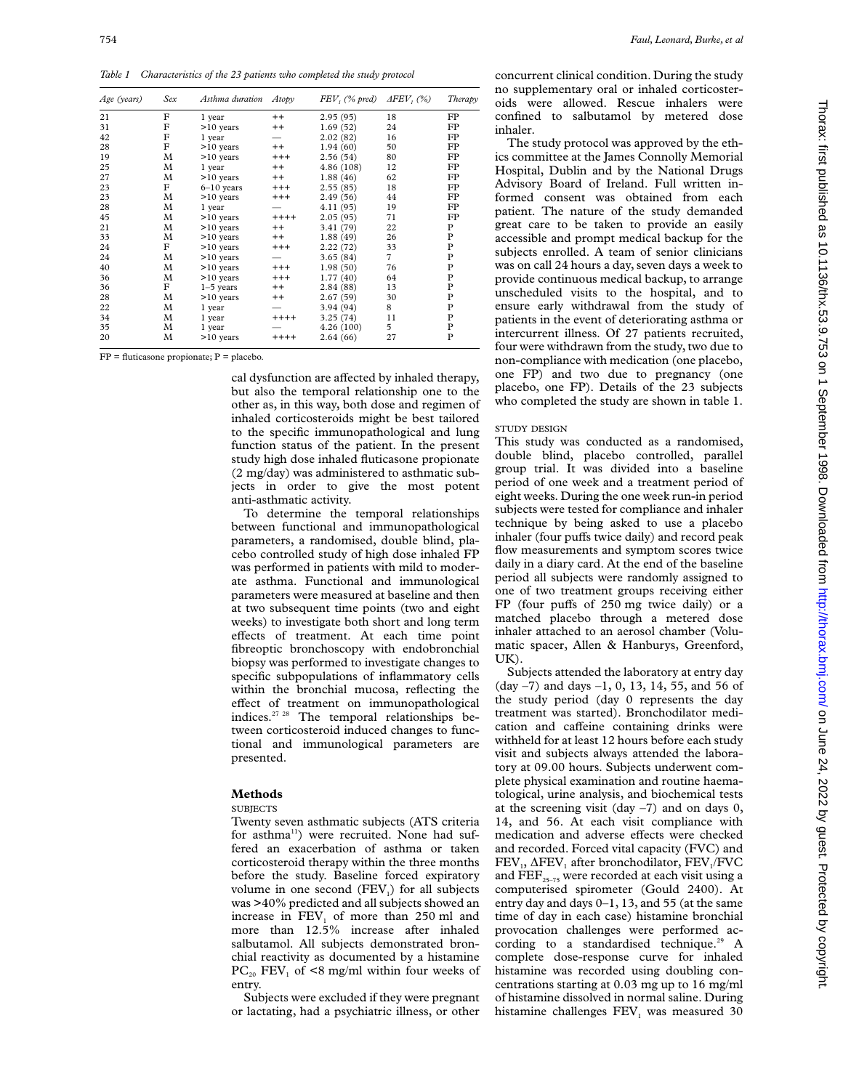*Table 1 Characteristics of the 23 patients who completed the study protocol*

| Age (years) | Sex | Asthma duration | Atopy    | $FEV$ , (% pred) | $\Delta FEV$ , (%) | Therapy     |
|-------------|-----|-----------------|----------|------------------|--------------------|-------------|
| 21          | F   | 1 year          | $++$     | 2.95(95)         | 18                 | FP          |
| 31          | F   | $>10$ years     | $++$     | 1.69(52)         | 24                 | FP          |
| 42          | F   | 1 year          |          | 2.02(82)         | 16                 | FP          |
| 28          | F   | $>10$ years     | $^{++}$  | 1.94(60)         | 50                 | FP          |
| 19          | М   | $>10$ years     | $^{+++}$ | 2.56(54)         | 80                 | FP          |
| 25          | M   | 1 year          | $++$     | 4.86 (108)       | 12                 | FP          |
| 27          | M   | $>10$ years     | $++$     | 1.88(46)         | 62                 | FP          |
| 23          | F   | $6-10$ years    | $^{+++}$ | 2.55(85)         | 18                 | FP          |
| 23          | М   | $>10$ years     | $^{+++}$ | 2.49(56)         | 44                 | FP          |
| 28          | М   | 1 year          |          | 4.11 (95)        | 19                 | FP          |
| 45          | M   | $>10$ years     | $++++$   | 2.05(95)         | 71                 | FP          |
| 21          | M   | $>10$ years     | $++$     | 3.41 (79)        | 22                 | P           |
| 33          | M   | $>10$ years     | $++$     | 1.88(49)         | 26                 | $\mathbf P$ |
| 24          | F   | $>10$ years     | $^{+++}$ | 2.22(72)         | 33                 | $\mathbf P$ |
| 24          | М   | $>10$ years     |          | 3.65(84)         | $\overline{7}$     | $\mathbf P$ |
| 40          | M   | $>10$ years     | $^{+++}$ | 1.98(50)         | 76                 | $\mathbf P$ |
| 36          | М   | $>10$ years     | $^{+++}$ | 1.77(40)         | 64                 | $\mathbf P$ |
| 36          | F   | $1-5$ years     | $^{++}$  | 2.84 (88)        | 13                 | $\mathbf P$ |
| 28          | M   | $>10$ years     | $^{++}$  | 2.67(59)         | 30                 | P           |
| 22          | М   | 1 year          |          | 3.94 (94)        | 8                  | P           |
| 34          | M   | 1 year          | $++++$   | 3.25(74)         | 11                 | $\mathbf P$ |
| 35          | M   | 1 year          |          | 4.26(100)        | 5                  | P           |
| 20          | М   | $>10$ years     | $++++$   | 2.64(66)         | 27                 | P           |

 $FP =$  fluticasone propionate;  $P =$  placebo.

cal dysfunction are affected by inhaled therapy, but also the temporal relationship one to the other as, in this way, both dose and regimen of inhaled corticosteroids might be best tailored to the specific immunopathological and lung function status of the patient. In the present study high dose inhaled fluticasone propionate (2 mg/day) was administered to asthmatic subjects in order to give the most potent anti-asthmatic activity.

To determine the temporal relationships between functional and immunopathological parameters, a randomised, double blind, placebo controlled study of high dose inhaled FP was performed in patients with mild to moderate asthma. Functional and immunological parameters were measured at baseline and then at two subsequent time points (two and eight weeks) to investigate both short and long term effects of treatment. At each time point fibreoptic bronchoscopy with endobronchial biopsy was performed to investigate changes to specific subpopulations of inflammatory cells within the bronchial mucosa, reflecting the effect of treatment on immunopathological indices.27 28 The temporal relationships between corticosteroid induced changes to functional and immunological parameters are presented.

## **Methods**

# **SUBJECTS**

Twenty seven asthmatic subjects (ATS criteria for asthma<sup>11</sup>) were recruited. None had suffered an exacerbation of asthma or taken corticosteroid therapy within the three months before the study. Baseline forced expiratory volume in one second  $(FEV_i)$  for all subjects was >40% predicted and all subjects showed an increase in  $FEV<sub>1</sub>$  of more than 250 ml and more than 12.5% increase after inhaled salbutamol. All subjects demonstrated bronchial reactivity as documented by a histamine  $PC_{20}$  FEV<sub>1</sub> of <8 mg/ml within four weeks of entry.

Subjects were excluded if they were pregnant or lactating, had a psychiatric illness, or other concurrent clinical condition. During the study no supplementary oral or inhaled corticosteroids were allowed. Rescue inhalers were confined to salbutamol by metered dose inhaler.

The study protocol was approved by the ethics committee at the James Connolly Memorial Hospital, Dublin and by the National Drugs Advisory Board of Ireland. Full written informed consent was obtained from each patient. The nature of the study demanded great care to be taken to provide an easily accessible and prompt medical backup for the subjects enrolled. A team of senior clinicians was on call 24 hours a day, seven days a week to provide continuous medical backup, to arrange unscheduled visits to the hospital, and to ensure early withdrawal from the study of patients in the event of deteriorating asthma or intercurrent illness. Of 27 patients recruited, four were withdrawn from the study, two due to non-compliance with medication (one placebo, one FP) and two due to pregnancy (one placebo, one FP). Details of the 23 subjects who completed the study are shown in table 1.

# STUDY DESIGN

This study was conducted as a randomised, double blind, placebo controlled, parallel group trial. It was divided into a baseline period of one week and a treatment period of eight weeks. During the one week run-in period subjects were tested for compliance and inhaler technique by being asked to use a placebo inhaler (four puffs twice daily) and record peak flow measurements and symptom scores twice daily in a diary card. At the end of the baseline period all subjects were randomly assigned to one of two treatment groups receiving either FP (four puffs of 250 mg twice daily) or a matched placebo through a metered dose inhaler attached to an aerosol chamber (Volumatic spacer, Allen & Hanburys, Greenford, UK).

Subjects attended the laboratory at entry day (day –7) and days –1, 0, 13, 14, 55, and 56 of the study period (day 0 represents the day treatment was started). Bronchodilator medication and caffeine containing drinks were withheld for at least 12 hours before each study visit and subjects always attended the laboratory at 09.00 hours. Subjects underwent complete physical examination and routine haematological, urine analysis, and biochemical tests at the screening visit (day  $-7$ ) and on days 0, 14, and 56. At each visit compliance with medication and adverse effects were checked and recorded. Forced vital capacity (FVC) and  $FEV<sub>1</sub>$ ,  $\Delta FEV<sub>1</sub>$  after bronchodilator,  $FEV<sub>1</sub>/FVC$ and  $\overline{\text{FEF}}_{25-75}$  were recorded at each visit using a computerised spirometer (Gould 2400). At entry day and days 0–1, 13, and 55 (at the same time of day in each case) histamine bronchial provocation challenges were performed according to a standardised technique.<sup>29</sup> A complete dose-response curve for inhaled histamine was recorded using doubling concentrations starting at 0.03 mg up to 16 mg/ml of histamine dissolved in normal saline. During histamine challenges  $FEV<sub>1</sub>$  was measured 30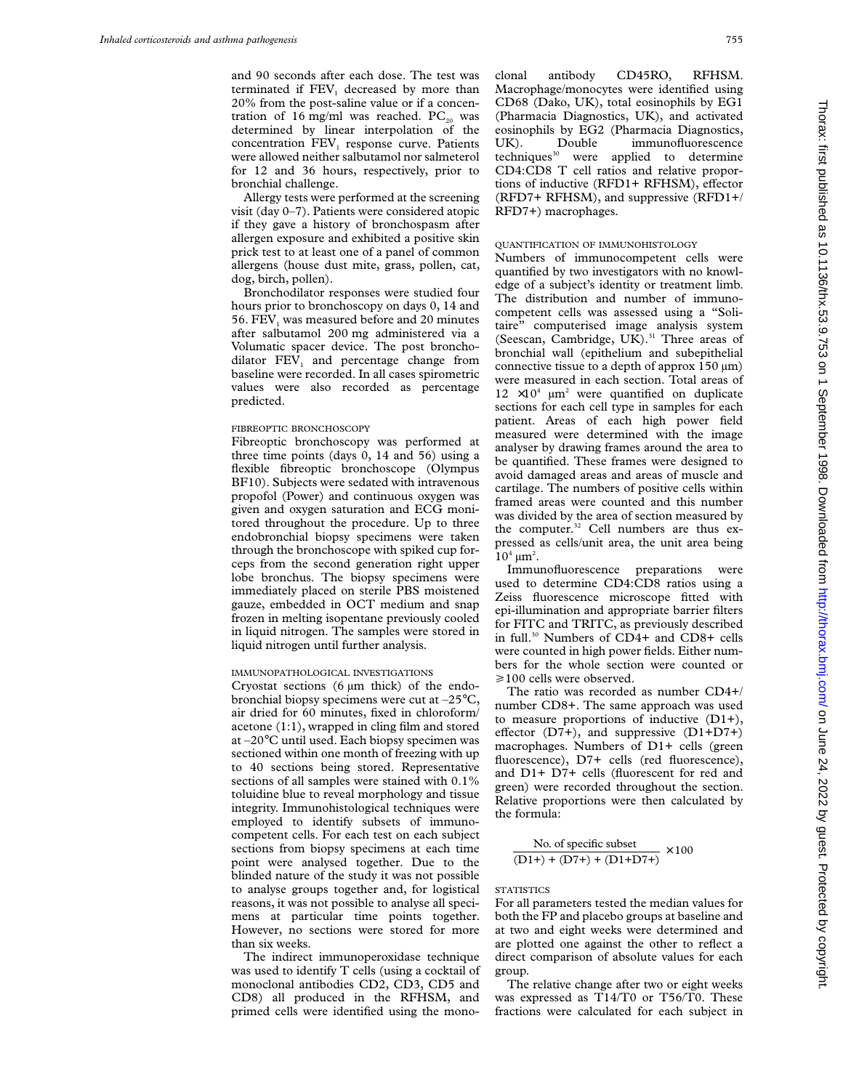and 90 seconds after each dose. The test was terminated if FEV<sub>1</sub> decreased by more than 20% from the post-saline value or if a concentration of 16 mg/ml was reached.  $PC_{20}$  was determined by linear interpolation of the concentration FEV<sub>1</sub> response curve. Patients were allowed neither salbutamol nor salmeterol for 12 and 36 hours, respectively, prior to bronchial challenge.

Allergy tests were performed at the screening visit (day 0–7). Patients were considered atopic if they gave a history of bronchospasm after allergen exposure and exhibited a positive skin prick test to at least one of a panel of common allergens (house dust mite, grass, pollen, cat, dog, birch, pollen).

Bronchodilator responses were studied four hours prior to bronchoscopy on days 0, 14 and 56. FEV<sub>1</sub> was measured before and 20 minutes after salbutamol 200 mg administered via a Volumatic spacer device. The post bronchodilator  $FEV<sub>1</sub>$  and percentage change from baseline were recorded. In all cases spirometric values were also recorded as percentage predicted.

# FIBREOPTIC BRONCHOSCOPY

Fibreoptic bronchoscopy was performed at three time points (days 0, 14 and 56) using a flexible fibreoptic bronchoscope (Olympus BF10). Subjects were sedated with intravenous propofol (Power) and continuous oxygen was given and oxygen saturation and ECG monitored throughout the procedure. Up to three endobronchial biopsy specimens were taken through the bronchoscope with spiked cup forceps from the second generation right upper lobe bronchus. The biopsy specimens were immediately placed on sterile PBS moistened gauze, embedded in OCT medium and snap frozen in melting isopentane previously cooled in liquid nitrogen. The samples were stored in liquid nitrogen until further analysis.

# IMMUNOPATHOLOGICAL INVESTIGATIONS

Cryostat sections  $(6 \mu m)$  thick) of the endobronchial biopsy specimens were cut at –25°C, air dried for 60 minutes, fixed in chloroform/ acetone (1:1), wrapped in cling film and stored at –20°C until used. Each biopsy specimen was sectioned within one month of freezing with up to 40 sections being stored. Representative sections of all samples were stained with 0.1% toluidine blue to reveal morphology and tissue integrity. Immunohistological techniques were employed to identify subsets of immunocompetent cells. For each test on each subject sections from biopsy specimens at each time point were analysed together. Due to the blinded nature of the study it was not possible to analyse groups together and, for logistical reasons, it was not possible to analyse all specimens at particular time points together. However, no sections were stored for more than six weeks.

The indirect immunoperoxidase technique was used to identify T cells (using a cocktail of monoclonal antibodies CD2, CD3, CD5 and CD8) all produced in the RFHSM, and primed cells were identified using the mono-

clonal antibody CD45RO, RFHSM. Macrophage/monocytes were identified using CD68 (Dako, UK), total eosinophils by EG1 (Pharmacia Diagnostics, UK), and activated eosinophils by EG2 (Pharmacia Diagnostics, UK). Double immunofluorescence<br>techniques<sup>30</sup> were applied to determine were applied to determine CD4:CD8 T cell ratios and relative proportions of inductive (RFD1+ RFHSM), effector (RFD7+ RFHSM), and suppressive (RFD1+/ RFD7+) macrophages.

#### QUANTIFICATION OF IMMUNOHISTOLOGY

Numbers of immunocompetent cells were quantified by two investigators with no knowledge of a subject's identity or treatment limb. The distribution and number of immunocompetent cells was assessed using a "Solitaire" computerised image analysis system (Seescan, Cambridge, UK).<sup>31</sup> Three areas of bronchial wall (epithelium and subepithelial connective tissue to a depth of approx  $150 \mu m$ ) were measured in each section. Total areas of  $12 \times 10^4$  µm<sup>2</sup> were quantified on duplicate sections for each cell type in samples for each patient. Areas of each high power field measured were determined with the image analyser by drawing frames around the area to be quantified. These frames were designed to avoid damaged areas and areas of muscle and cartilage. The numbers of positive cells within framed areas were counted and this number was divided by the area of section measured by the computer.<sup>32</sup> Cell numbers are thus expressed as cells/unit area, the unit area being  $10^4 \mu m^2$ .

Immunofluorescence preparations were used to determine CD4:CD8 ratios using a Zeiss fluorescence microscope fitted with epi-illumination and appropriate barrier filters for FITC and TRITC, as previously described in full.30 Numbers of CD4+ and CD8+ cells were counted in high power fields. Either numbers for the whole section were counted or  $\geq$ 100 cells were observed.

The ratio was recorded as number CD4+/ number CD8+. The same approach was used to measure proportions of inductive (D1+), effector (D7+), and suppressive  $(D1+D7+)$ macrophages. Numbers of D1+ cells (green fluorescence), D7+ cells (red fluorescence), and D1+ D7+ cells (fluorescent for red and green) were recorded throughout the section. Relative proportions were then calculated by the formula:

No. of specific subset  

$$
\frac{\text{No. of specific subset}}{(D1+) + (D7+) + (D1+D7+)} \times 100
$$

#### **STATISTICS**

For all parameters tested the median values for both the FP and placebo groups at baseline and at two and eight weeks were determined and are plotted one against the other to reflect a direct comparison of absolute values for each group.

The relative change after two or eight weeks was expressed as T14/T0 or T56/T0. These fractions were calculated for each subject in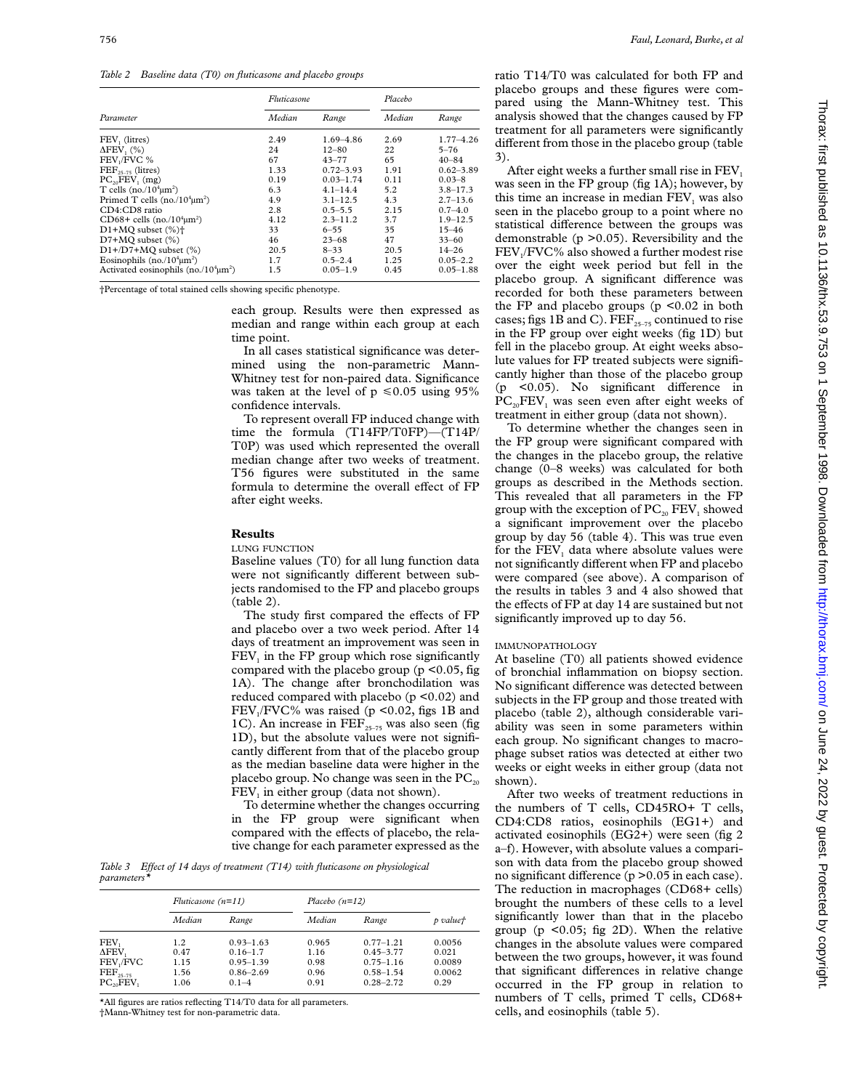*Table 2 Baseline data (T0) on fluticasone and placebo groups*

|                                            | Fluticasone |               | Placebo |               |
|--------------------------------------------|-------------|---------------|---------|---------------|
| Parameter                                  | Median      | Range         | Median  | Range         |
| FEV, (litres)                              | 2.49        | $1.69 - 4.86$ | 2.69    | $1.77 - 4.26$ |
| $\Delta$ FEV, $(\%$ )                      | 24          | $12 - 80$     | 22      | $5 - 76$      |
| FEV <sub>1</sub> /FVC %                    | 67          | $43 - 77$     | 65      | $40 - 84$     |
| $\text{FEF}_{25-75}$ (litres)              | 1.33        | $0.72 - 3.93$ | 1.91    | $0.62 - 3.89$ |
| $PC_{20}FEV_1$ (mg)                        | 0.19        | $0.03 - 1.74$ | 0.11    | $0.03 - 8$    |
| T cells (no./ $104 \mu m2$ )               | 6.3         | $4.1 - 14.4$  | 5.2     | $3.8 - 17.3$  |
| Primed T cells $(no./104µm2)$              | 4.9         | $3.1 - 12.5$  | 4.3     | $2.7 - 13.6$  |
| CD4:CD8 ratio                              | 2.8         | $0.5 - 5.5$   | 2.15    | $0.7 - 4.0$   |
| CD68+ cells $(no./104µm2)$                 | 4.12        | $2.3 - 11.2$  | 3.7     | $1.9 - 12.5$  |
| $D1+MO$ subset $(\% )\dagger$              | 33          | $6 - 55$      | 35      | $15 - 46$     |
| $D7+MO$ subset $(\% )$                     | 46          | $23 - 68$     | 47      | $33 - 60$     |
| $D1+ / D7+ MO$ subset $(\% )$              | 20.5        | $8 - 33$      | 20.5    | $14 - 26$     |
| Eosinophils (no./ $10^4 \mu m^2$ )         | 1.7         | $0.5 - 2.4$   | 1.25    | $0.05 - 2.2$  |
| Activated eosinophils (no./ $104 \mu m2$ ) | 1.5         | $0.05 - 1.9$  | 0.45    | $0.05 - 1.88$ |

†Percentage of total stained cells showing specific phenotype.

each group. Results were then expressed as median and range within each group at each time point.

In all cases statistical significance was determined using the non-parametric Mann-Whitney test for non-paired data. Significance was taken at the level of  $p \le 0.05$  using 95% confidence intervals.

To represent overall FP induced change with time the formula (T14FP/T0FP)—(T14P/ T0P) was used which represented the overall median change after two weeks of treatment. T56 figures were substituted in the same formula to determine the overall effect of FP after eight weeks.

## **Results**

LUNG FUNCTION

Baseline values (T0) for all lung function data were not significantly different between subjects randomised to the FP and placebo groups (table 2).

The study first compared the effects of FP and placebo over a two week period. After 14 days of treatment an improvement was seen in  $FEV<sub>1</sub>$  in the FP group which rose significantly compared with the placebo group ( $p \le 0.05$ , fig 1A). The change after bronchodilation was reduced compared with placebo (p <0.02) and  $FEV<sub>1</sub>/FVC%$  was raised (p <0.02, figs 1B and 1C). An increase in  $\text{FEF}_{25-75}$  was also seen (fig 1D), but the absolute values were not significantly different from that of the placebo group as the median baseline data were higher in the placebo group. No change was seen in the  $PC_{20}$ FEV<sub>1</sub> in either group (data not shown).

To determine whether the changes occurring in the FP group were significant when compared with the effects of placebo, the relative change for each parameter expressed as the

Table 3 Effect of 14 days of treatment (T14) with fluticasone on physiological *parameters\**

|                            | Fluticasone $(n=11)$ |               |        | Placebo $(n=12)$ |          |
|----------------------------|----------------------|---------------|--------|------------------|----------|
|                            | Median               | Range         | Median | Range            | p valuet |
| FEV,                       | 1.2                  | $0.93 - 1.63$ | 0.965  | $0.77 - 1.21$    | 0.0056   |
| ΔFEV,                      | 0.47                 | $0.16 - 1.7$  | 1.16   | $0.45 - 3.77$    | 0.021    |
| FEV <sub>1</sub> /FVC      | 1.15                 | $0.95 - 1.39$ | 0.98   | $0.75 - 1.16$    | 0.0089   |
| $\text{FEF}_{25-75}$       | 1.56                 | $0.86 - 2.69$ | 0.96   | $0.58 - 1.54$    | 0.0062   |
| $PC_{20}$ FEV <sub>1</sub> | 1.06                 | $0.1 - 4$     | 0.91   | $0.28 - 2.72$    | 0.29     |

\*All figures are ratios reflecting T14/T0 data for all parameters.

†Mann-Whitney test for non-parametric data.

ratio T14/T0 was calculated for both FP and placebo groups and these figures were compared using the Mann-Whitney test. This analysis showed that the changes caused by FP treatment for all parameters were significantly different from those in the placebo group (table 3).

After eight weeks a further small rise in FEV<sub>1</sub> was seen in the FP group (fig 1A); however, by this time an increase in median  $FEV<sub>1</sub>$  was also seen in the placebo group to a point where no statistical difference between the groups was demonstrable (p >0.05). Reversibility and the  $FEV<sub>1</sub>/FVC%$  also showed a further modest rise over the eight week period but fell in the placebo group. A significant difference was recorded for both these parameters between the FP and placebo groups (p <0.02 in both cases; figs 1B and C).  $\text{FEF}_{25-75}$  continued to rise in the FP group over eight weeks (fig 1D) but fell in the placebo group. At eight weeks absolute values for FP treated subjects were significantly higher than those of the placebo group (p  $\leq$ 0.05). No significant difference in  $PC_{20}FEV_1$  was seen even after eight weeks of treatment in either group (data not shown).

To determine whether the changes seen in the FP group were significant compared with the changes in the placebo group, the relative change (0–8 weeks) was calculated for both groups as described in the Methods section. This revealed that all parameters in the FP group with the exception of  $PC_{20}$   $FEV_1$  showed a significant improvement over the placebo group by day 56 (table 4). This was true even for the  $FEV<sub>1</sub>$  data where absolute values were not significantly different when FP and placebo were compared (see above). A comparison of the results in tables 3 and 4 also showed that the effects of  $FP$  at day 14 are sustained but not significantly improved up to day 56.

#### IMMUNOPATHOLOGY

At baseline (T0) all patients showed evidence of bronchial inflammation on biopsy section. No significant difference was detected between subjects in the FP group and those treated with placebo (table 2), although considerable variability was seen in some parameters within each group. No significant changes to macrophage subset ratios was detected at either two weeks or eight weeks in either group (data not shown).

After two weeks of treatment reductions in the numbers of T cells, CD45RO+ T cells, CD4:CD8 ratios, eosinophils (EG1+) and activated eosinophils (EG2+) were seen (fig 2 a–f). However, with absolute values a comparison with data from the placebo group showed no significant difference ( $p > 0.05$  in each case). The reduction in macrophages (CD68+ cells) brought the numbers of these cells to a level significantly lower than that in the placebo group ( $p \leq 0.05$ ; fig 2D). When the relative changes in the absolute values were compared between the two groups, however, it was found that significant differences in relative change occurred in the FP group in relation to numbers of T cells, primed T cells, CD68+ cells, and eosinophils (table 5).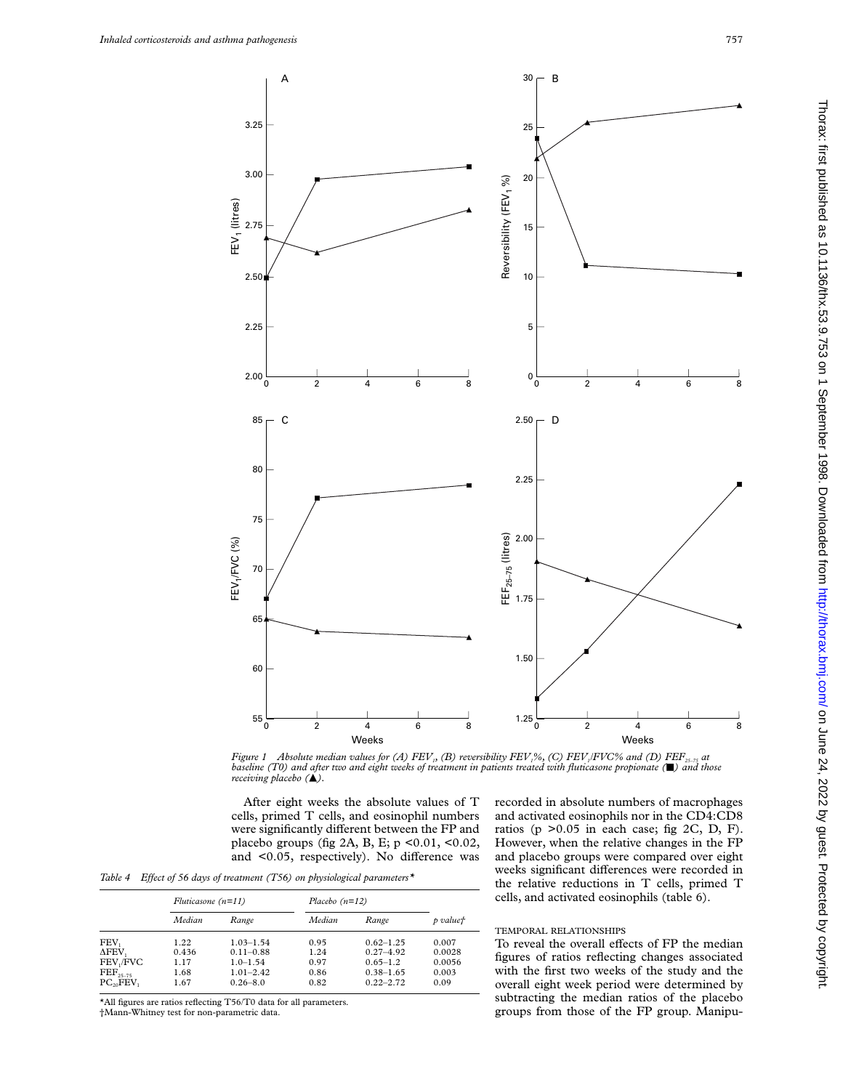

Figure 1 Absolute median values for (A) FEV<sub>1</sub>, (B) reversibility FEV<sub>1</sub>%, (C) FEV<sub>1</sub>FVC% and (D) FEF<sub>25-75</sub> at baseline (T0) and after two and eight weeks of treatment in patients treated with fluticasone propionate ( $\bl$ *receiving placebo* ( $\triangle$ ).

After eight weeks the absolute values of T cells, primed T cells, and eosinophil numbers were significantly different between the FP and placebo groups (fig 2A, B, E;  $p < 0.01$ , <0.02, and  $<$ 0.05, respectively). No difference was

Table 4 Effect of 56 days of treatment (T56) on physiological parameters<sup>\*</sup>

|                       | Fluticasone $(n=11)$ |               |        | Placebo $(n=12)$ |          |
|-----------------------|----------------------|---------------|--------|------------------|----------|
|                       | Median               | Range         | Median | Range            | p valuet |
| FEV,                  | 1.22                 | $1.03 - 1.54$ | 0.95   | $0.62 - 1.25$    | 0.007    |
| ΔFEV,                 | 0.436                | $0.11 - 0.88$ | 1.24   | $0.27 - 4.92$    | 0.0028   |
| FEV <sub>1</sub> /FVC | 1.17                 | $1.0 - 1.54$  | 0.97   | $0.65 - 1.2$     | 0.0056   |
| $\text{FEF}_{25-75}$  | 1.68                 | $1.01 - 2.42$ | 0.86   | $0.38 - 1.65$    | 0.003    |
| $PC_{20}FEV_1$        | 1.67                 | $0.26 - 8.0$  | 0.82   | $0.22 - 2.72$    | 0.09     |

\*All figures are ratios reflecting T56/T0 data for all parameters. †Mann-Whitney test for non-parametric data.

recorded in absolute numbers of macrophages and activated eosinophils nor in the CD4:CD8 ratios (p  $>0.05$  in each case; fig 2C, D, F). However, when the relative changes in the FP and placebo groups were compared over eight weeks significant differences were recorded in the relative reductions in T cells, primed T cells, and activated eosinophils (table 6).

# TEMPORAL RELATIONSHIPS

To reveal the overall effects of FP the median figures of ratios reflecting changes associated with the first two weeks of the study and the overall eight week period were determined by subtracting the median ratios of the placebo groups from those of the FP group. Manipu-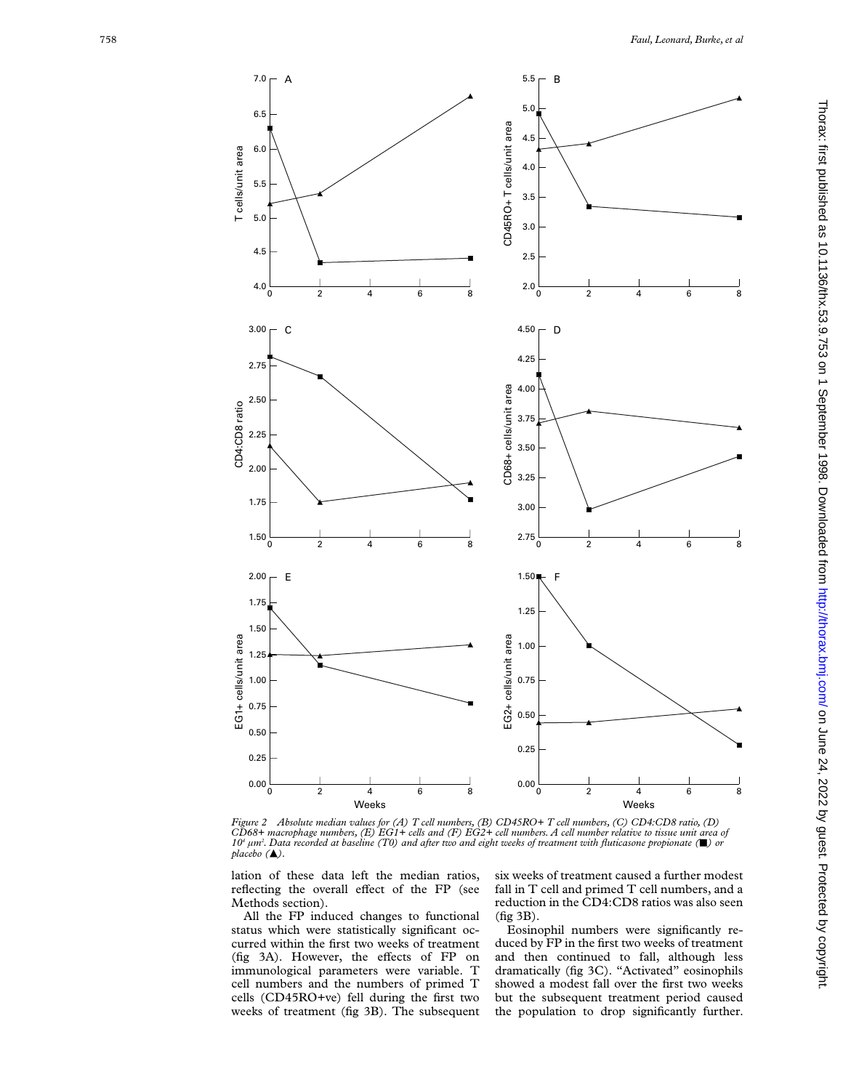

Figure 2 Absolute median values for (A) T cell numbers, (B) CD45RO+ T cell numbers, (C) CD4:CD8 ratio, (D)<br>CD68+ macrophage numbers, (E) EG1+ cells and (F) EG2+ cell numbers. A cell number relative to tissue unit area o *10 <sup>4</sup> µm 2 . Data recorded at baseline (T0) and after two and eight weeks of treatment with fluticasone propionate (*j*) or*  $placebo$  ( $\blacktriangle$ ).

lation of these data left the median ratios, reflecting the overall effect of the FP (see Methods section).

All the FP induced changes to functional status which were statistically significant occurred within the first two weeks of treatment (fig 3A). However, the effects of FP on immunological parameters were variable. T cell numbers and the numbers of primed T cells (CD45RO+ve) fell during the first two weeks of treatment (fig 3B). The subsequent

six weeks of treatment caused a further modest fall in T cell and primed T cell numbers, and a reduction in the CD4:CD8 ratios was also seen (fig 3B).

Eosinophil numbers were significantly reduced by FP in the first two weeks of treatment and then continued to fall, although less dramatically (fig 3C). "Activated" eosinophils showed a modest fall over the first two weeks but the subsequent treatment period caused the population to drop significantly further.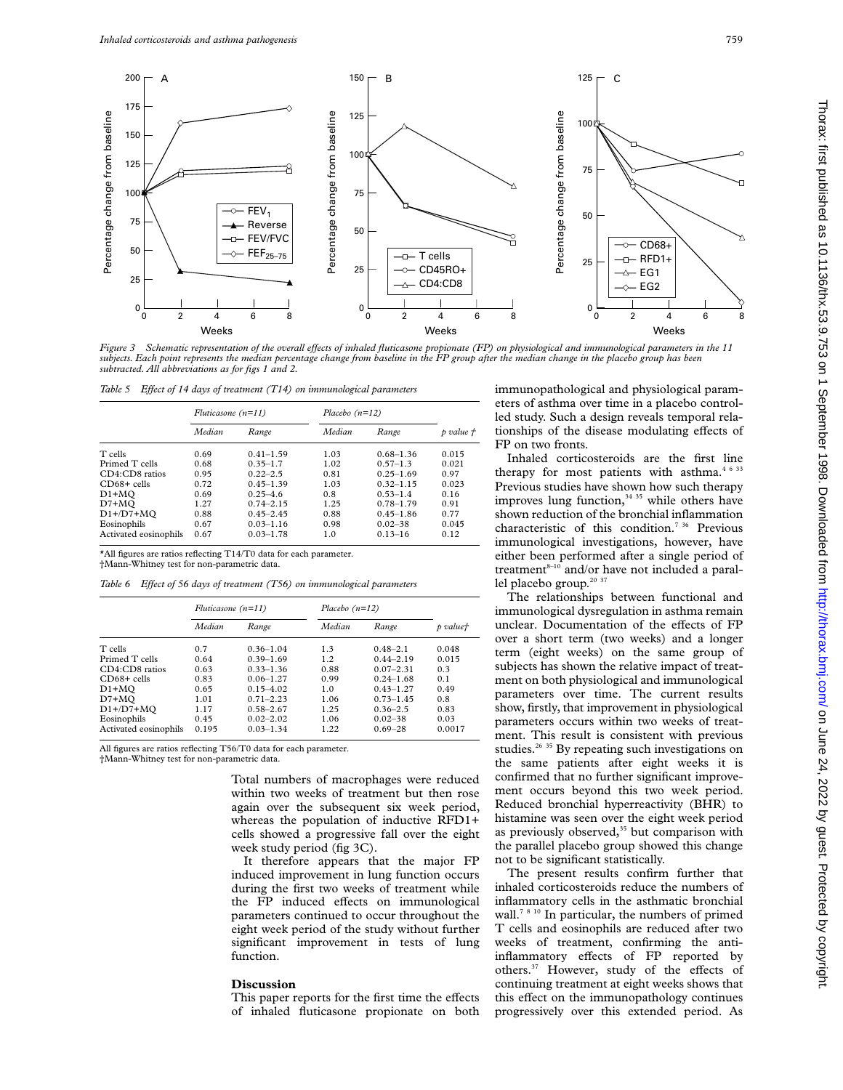

Figure 3 Schematic representation of the overall effects of inhaled fluticasone propionate (FP) on physiological and immunological parameters in the 11 *subjects. Each point represents the median percentage change from baseline in the FP group after the median change in the placebo group has been subtracted. All abbreviations as for figs 1 and 2.*

*Table 5 Effect of 14 days of treatment (T14) on immunological parameters* 

|                       | Fluticasone $(n=11)$ |               | Placebo $(n=12)$ |               |           |
|-----------------------|----------------------|---------------|------------------|---------------|-----------|
|                       | Median               | Range         | Median           | Range         | p value t |
| T cells               | 0.69                 | $0.41 - 1.59$ | 1.03             | $0.68 - 1.36$ | 0.015     |
| Primed T cells        | 0.68                 | $0.35 - 1.7$  | 1.02             | $0.57 - 1.3$  | 0.021     |
| CD4:CD8 ratios        | 0.95                 | $0.22 - 2.5$  | 0.81             | $0.25 - 1.69$ | 0.97      |
| $CD68+$ cells         | 0.72                 | $0.45 - 1.39$ | 1.03             | $0.32 - 1.15$ | 0.023     |
| $D1+MO$               | 0.69                 | $0.25 - 4.6$  | 0.8              | $0.53 - 1.4$  | 0.16      |
| D7+MQ                 | 1.27                 | $0.74 - 2.15$ | 1.25             | $0.78 - 1.79$ | 0.91      |
| $D1+ / D7+ MO$        | 0.88                 | $0.45 - 2.45$ | 0.88             | $0.45 - 1.86$ | 0.77      |
| Eosinophils           | 0.67                 | $0.03 - 1.16$ | 0.98             | $0.02 - 38$   | 0.045     |
| Activated eosinophils | 0.67                 | $0.03 - 1.78$ | 1.0              | $0.13 - 16$   | 0.12      |

\*All figures are ratios reflecting T14/T0 data for each parameter. †Mann-Whitney test for non-parametric data.

Table 6 Effect of 56 days of treatment (T56) on immunological parameters

|                       | Fluticasone $(n=11)$ |               | Placebo $(n=12)$ |               |          |
|-----------------------|----------------------|---------------|------------------|---------------|----------|
|                       | Median               | Range         | Median           | Range         | p valuet |
| T cells               | 0.7                  | $0.36 - 1.04$ | 1.3              | $0.48 - 2.1$  | 0.048    |
| Primed T cells        | 0.64                 | $0.39 - 1.69$ | 1.2              | $0.44 - 2.19$ | 0.015    |
| CD4:CD8 ratios        | 0.63                 | $0.33 - 1.36$ | 0.88             | $0.07 - 2.31$ | 0.3      |
| $CD68 +$ cells        | 0.83                 | $0.06 - 1.27$ | 0.99             | $0.24 - 1.68$ | 0.1      |
| $D1+MO$               | 0.65                 | $0.15 - 4.02$ | 1.0              | $0.43 - 1.27$ | 0.49     |
| $D7+MO$               | 1.01                 | $0.71 - 2.23$ | 1.06             | $0.73 - 1.45$ | 0.8      |
| $D1+ / D7+ MO$        | 1.17                 | $0.58 - 2.67$ | 1.25             | $0.36 - 2.5$  | 0.83     |
| Eosinophils           | 0.45                 | $0.02 - 2.02$ | 1.06             | $0.02 - 38$   | 0.03     |
| Activated eosinophils | 0.195                | $0.03 - 1.34$ | 1.22             | $0.69 - 28$   | 0.0017   |

All figures are ratios reflecting T56/T0 data for each parameter.

†Mann-Whitney test for non-parametric data.

Total numbers of macrophages were reduced within two weeks of treatment but then rose again over the subsequent six week period, whereas the population of inductive RFD1+ cells showed a progressive fall over the eight week study period (fig 3C).

It therefore appears that the major FP induced improvement in lung function occurs during the first two weeks of treatment while the FP induced effects on immunological parameters continued to occur throughout the eight week period of the study without further significant improvement in tests of lung function.

### **Discussion**

This paper reports for the first time the effects of inhaled fluticasone propionate on both immunopathological and physiological parameters of asthma over time in a placebo controlled study. Such a design reveals temporal relationships of the disease modulating effects of FP on two fronts.

Inhaled corticosteroids are the first line therapy for most patients with asthma. $4/6/33$ Previous studies have shown how such therapy improves lung function,  $34$  35 while others have shown reduction of the bronchial inflammation characteristic of this condition.<sup>7 36</sup> Previous immunological investigations, however, have either been performed after a single period of treatment $8-10$  and/or have not included a parallel placebo group.<sup>20 37</sup>

The relationships between functional and immunological dysregulation in asthma remain unclear. Documentation of the effects of FP over a short term (two weeks) and a longer term (eight weeks) on the same group of subjects has shown the relative impact of treatment on both physiological and immunological parameters over time. The current results show, firstly, that improvement in physiological parameters occurs within two weeks of treatment. This result is consistent with previous studies.<sup>26 35</sup> By repeating such investigations on the same patients after eight weeks it is confirmed that no further significant improvement occurs beyond this two week period. Reduced bronchial hyperreactivity (BHR) to histamine was seen over the eight week period as previously observed, $35$  but comparison with the parallel placebo group showed this change not to be significant statistically.

The present results confirm further that inhaled corticosteroids reduce the numbers of inflammatory cells in the asthmatic bronchial wall.<sup>78 10</sup> In particular, the numbers of primed T cells and eosinophils are reduced after two weeks of treatment, confirming the antiinflammatory effects of FP reported by others.<sup>37</sup> However, study of the effects of continuing treatment at eight weeks shows that this effect on the immunopathology continues progressively over this extended period. As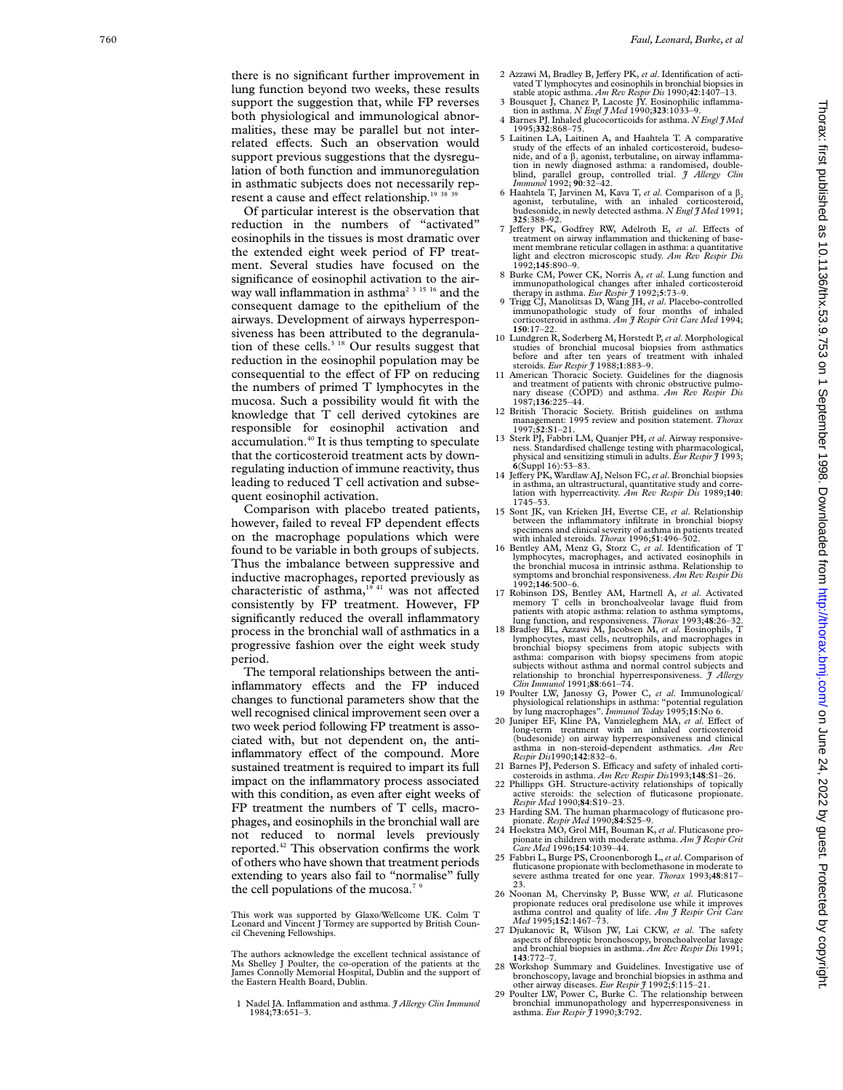there is no significant further improvement in lung function beyond two weeks, these results support the suggestion that, while FP reverses both physiological and immunological abnormalities, these may be parallel but not interrelated effects. Such an observation would support previous suggestions that the dysregulation of both function and immunoregulation in asthmatic subjects does not necessarily represent a cause and effect relationship.<sup>19 38</sup>

Of particular interest is the observation that reduction in the numbers of "activated" eosinophils in the tissues is most dramatic over the extended eight week period of FP treatment. Several studies have focused on the significance of eosinophil activation to the airway wall inflammation in asthma<sup>2 3 15 16</sup> and the consequent damage to the epithelium of the airways. Development of airways hyperresponsiveness has been attributed to the degranulation of these cells.<sup>3 18</sup> Our results suggest that reduction in the eosinophil population may be consequential to the effect of FP on reducing the numbers of primed T lymphocytes in the mucosa. Such a possibility would fit with the knowledge that T cell derived cytokines are responsible for eosinophil activation and accumulation.40 It is thus tempting to speculate that the corticosteroid treatment acts by downregulating induction of immune reactivity, thus leading to reduced T cell activation and subsequent eosinophil activation.

Comparison with placebo treated patients, however, failed to reveal FP dependent effects on the macrophage populations which were found to be variable in both groups of subjects. Thus the imbalance between suppressive and inductive macrophages, reported previously as characteristic of asthma, $1941}$  was not affected consistently by FP treatment. However, FP significantly reduced the overall inflammatory process in the bronchial wall of asthmatics in a progressive fashion over the eight week study period.

The temporal relationships between the antiinflammatory effects and the FP induced changes to functional parameters show that the well recognised clinical improvement seen over a two week period following FP treatment is associated with, but not dependent on, the antiinflammatory effect of the compound. More sustained treatment is required to impart its full impact on the inflammatory process associated with this condition, as even after eight weeks of FP treatment the numbers of T cells, macrophages, and eosinophils in the bronchial wall are not reduced to normal levels previously reported.42 This observation confirms the work of others who have shown that treatment periods extending to years also fail to "normalise" fully the cell populations of the mucosa.<sup>7  $9$ </sup>

This work was supported by Glaxo/Wellcome UK. Colm T Leonard and Vincent J Tormey are supported by British Council Chevening Fellowships.

The authors acknowledge the excellent technical assistance of Ms Shelley J Poulter, the co-operation of the patients at the James Connolly Memorial Hospital, Dublin and the support of the Eastern Health Board, Dublin.

1 Nadel JA. Inflammation and asthma. *J Allergy Clin Immunol* 1984;**73**:651–3.

- 2 Azzawi M, Bradley B, Jeffery PK, et al. Identification of activated T lymphocytes and eosinophils in bronchial biopsies in
- stable atopic asthma. *Am Rev Respir Dis* 1990;**42**:1407–13. 3 Bousquet J, Chanez P, Lacoste JY. Eosinophilic inflamma-tion in asthma. *N Engl J Med* 1990;**323**:1033–9.
- 4 Barnes PJ. Inhaled glucocorticoids for asthma. *N Engl J Med* 1995;**332**:868–75.
- 5 Laitinen LA, Laitinen A, and Haahtela T. A comparative study of the effects of an inhaled corticosteroid, budesonide, and of a β<sub>2</sub> agonist, terbutaline, on airway inflamma-<br>tion in newly diagnosed asthma: a randomised, doubleblind, parallel group, controlled trial. *J Allergy Clin Immunol* 1992; **90**:32–42.
- 6 Haahtela T, Jarvinen M, Kava T, *et al.* Comparison of a  $\beta_2$  agonist, terbutaline, with an inhaled corticosteroid, budesonide, in newly detected asthma. *N Engl J Med* 1991; **325**:388–92.
- 7 Jeffery PK, Godfrey RW, Adelroth E, et al. Effects of treatment on airway inflammation and thickening of basement membrane reticular collagen in asthma: a quantitative light and electron microscopic study. *Am Rev Respir Dis* 1992;**145**:890–9.
- 8 Burke CM, Power CK, Norris A, *et al*. Lung function and immunopathological changes after inhaled corticosteroid therapy in asthma. *Eur Respir J* 1992; **5**:73–9.
- 9 Trigg CJ, Manolitsas D, Wang JH, *et al*. Placebo-controlled immunopathologic study of four months of inhaled corticosteroid in asthma. *Am J Respir Crit Care Med* 1994; **150**:17–22.
- 10 Lundgren R, Soderberg M, Horstedt P,*et al*. Morphological studies of bronchial mucosal biopsies from asthmatics before and after ten years of treatment with inhaled
- steroids. *Eur Respir J* 1988;1:883-9.<br>11 American Thoracic Society. Guidelines for the diagnosis and treatment of patients with chronic obstructive pulmo-nary disease (COPD) and asthma. *Am Rev Respir Dis* 1987;**136**:225–44.
- 12 British Thoracic Society. British guidelines on asthma management: 1995 review and position statement. *Thorax* 1997;**52**:S1–21.
- 13 Sterk PJ, Fabbri LM, Quanjer PH, *et al*. Airway responsiveness. Standardised challenge testing with pharmacological, physical and sensitizing stimuli in adults. *Eur Respir J* 1993; **<sup>6</sup>**(Suppl 16):53–83.
- 14 Jeffery PK, Wardlaw AJ, Nelson FC, et al. Bronchial biopsies in asthma, an ultrastructural, quantitative study and correlation with hyperreactivity. *Am Rev Respir Dis* 1989;**140**: 1745–53.
- 15 Sont JK, van Krieken JH, Evertse CE, *et al*. Relationship between the inflammatory infiltrate in bronchial biopsy specimens and clinical severity of asthma in patients treated with inhaled steroids. *Thorax* 1996;**51**:496–502.
- 16 Bentley AM, Menz G, Storz C, *et al*. Identification of T lymphocytes, macrophages, and activated eosinophils in the bronchial mucosa in intrinsic asthma. Relationship to symptoms and bronchial responsiveness. *Am Rev Respir Dis* 1992;**146**:500–6.
- 17 Robinson DS, Bentley AM, Hartnell A, *et al*. Activated memory T cells in bronchoalveolar lavage fluid from patients with atopic asthma: relation to asthma symptoms, lung function, and responsiveness. *Thorax* 1993;**48**:26–32. 18 Bradley BL, Azzawi M, Jacobsen M, *et al*. Eosinophils, T
- lymphocytes, mast cells, neutrophils, and macrophages in bronchial biopsy specimens from atopic subjects with asthma: comparison with biopsy specimens from atopic subjects without asthma and normal control subjects and relationship to bronchial hyperresponsiveness. *J Allergy Clin Immunol* 1991;**88**:661–74.
- 19 Poulter LW, Janossy G, Power C, et al. Immunological/<br>physiological relationships in asthma: "potential regulation<br>by lung macrophages". *Immunol Today* 1995;15:No 6.<br>20 Juniper EF, Kline PA, Vanzieleghem MA, et al. Eff
- long-term treatment with an inhaled corticosteroid (budesonide) on airway hyperresponsiveness and clinical asthma in non-steroid-dependent asthmatics. *Am Rev Respir Dis*1990;**142**:832–6.
- 21 Barnes PJ, Pederson S. Efficacy and safety of inhaled corti-
- costeroids in asthma. *Am Rev Respir Dis*1993;**148**:S1–26. 22 Phillipps GH. Structure-activity relationships of topically active steroids: the selection of fluticasone propionate. *Respir Med* 1990;**84**:S19–23.
- 23 Harding SM. The human pharmacology of fluticasone pro-pionate. *Respir Med* 1990;**84**:S25–9. 24 Hoekstra MO, Grol MH, Bouman K, *et al*. Fluticasone pro-
- pionate in children with moderate asthma. *Am J Respir Crit Care Med* 1996;**154**:1039–44.
- 25 Fabbri L, Burge PS, Croonenborogh L,*et al*. Comparison of fluticasone propionate with beclomethasone in moderate to severe asthma treated for one year. *Thorax* 1993;**48**:817– 23.
- 26 Noonan M, Chervinsky P, Busse WW, *et al*. Fluticasone propionate reduces oral predisolone use while it improves asthma control and quality of life. *Am J Respir Crit Care Med* 1995;**152**:1467–73.
- 27 Djukanovic R, Wilson JW, Lai CKW, *et al*. The safety aspects of fibreoptic bronchoscopy, bronchoalveolar lavage and bronchial biopsies in asthma. *Am Rev Respir Dis* 1991; **143**:772–7.
- 28 Workshop Summary and Guidelines. Investigative use of<br>bronchoscopy, lavage and bronchial biopsies in asthma and<br>other airway diseases. *Eur Respir* J 1992;5:115-21.<br>Poulter LW, Power C, Burke C. The relationship between
- bronchial immunopathology and hyperresponsiveness in asthma. *Eur Respir J* 1990; **3**:792.